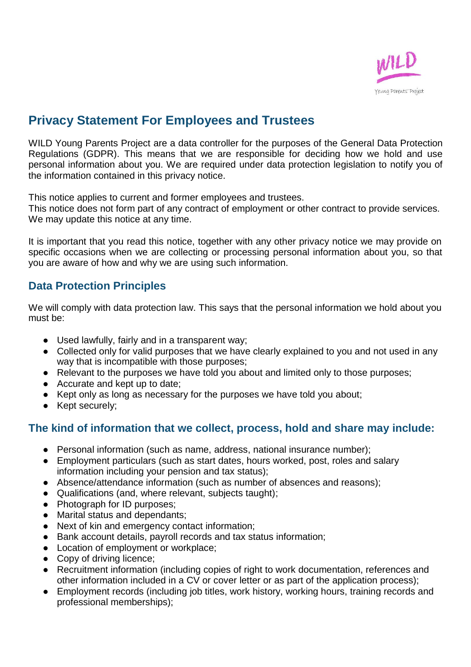

# **Privacy Statement For Employees and Trustees**

WILD Young Parents Project are a data controller for the purposes of the General Data Protection Regulations (GDPR). This means that we are responsible for deciding how we hold and use personal information about you. We are required under data protection legislation to notify you of the information contained in this privacy notice.

This notice applies to current and former employees and trustees.

This notice does not form part of any contract of employment or other contract to provide services. We may update this notice at any time.

It is important that you read this notice, together with any other privacy notice we may provide on specific occasions when we are collecting or processing personal information about you, so that you are aware of how and why we are using such information.

# **Data Protection Principles**

We will comply with data protection law. This says that the personal information we hold about you must be:

- Used lawfully, fairly and in a transparent way;
- Collected only for valid purposes that we have clearly explained to you and not used in any way that is incompatible with those purposes;
- Relevant to the purposes we have told you about and limited only to those purposes;
- Accurate and kept up to date;
- Kept only as long as necessary for the purposes we have told you about;
- Kept securely;

# **The kind of information that we collect, process, hold and share may include:**

- Personal information (such as name, address, national insurance number);
- Employment particulars (such as start dates, hours worked, post, roles and salary information including your pension and tax status);
- Absence/attendance information (such as number of absences and reasons);
- Qualifications (and, where relevant, subjects taught);
- Photograph for ID purposes;
- Marital status and dependants;
- Next of kin and emergency contact information;
- Bank account details, payroll records and tax status information;
- Location of employment or workplace;
- Copy of driving licence;
- Recruitment information (including copies of right to work documentation, references and other information included in a CV or cover letter or as part of the application process);
- Employment records (including job titles, work history, working hours, training records and professional memberships);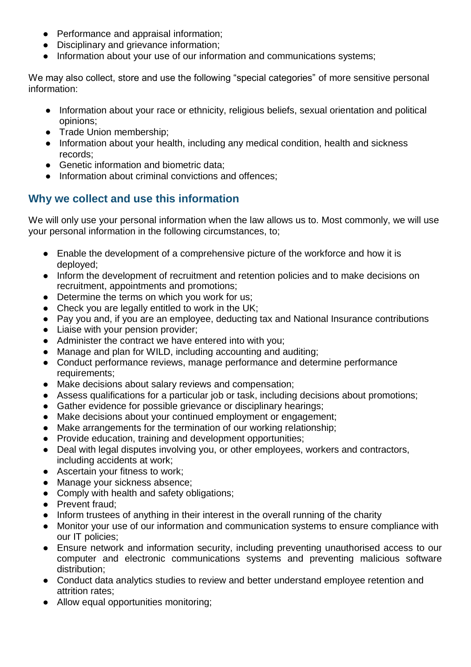- Performance and appraisal information:
- Disciplinary and grievance information;
- Information about your use of our information and communications systems;

We may also collect, store and use the following "special categories" of more sensitive personal information:

- Information about your race or ethnicity, religious beliefs, sexual orientation and political opinions;
- Trade Union membership;
- Information about your health, including any medical condition, health and sickness records;
- Genetic information and biometric data;
- Information about criminal convictions and offences;

# **Why we collect and use this information**

We will only use your personal information when the law allows us to. Most commonly, we will use your personal information in the following circumstances, to;

- Enable the development of a comprehensive picture of the workforce and how it is deployed;
- Inform the development of recruitment and retention policies and to make decisions on recruitment, appointments and promotions;
- Determine the terms on which you work for us;
- Check you are legally entitled to work in the UK;
- Pay you and, if you are an employee, deducting tax and National Insurance contributions
- Liaise with your pension provider;
- Administer the contract we have entered into with you;
- Manage and plan for WILD, including accounting and auditing;
- Conduct performance reviews, manage performance and determine performance requirements;
- Make decisions about salary reviews and compensation;
- Assess qualifications for a particular job or task, including decisions about promotions;
- Gather evidence for possible grievance or disciplinary hearings;
- Make decisions about your continued employment or engagement;
- Make arrangements for the termination of our working relationship;
- Provide education, training and development opportunities;
- Deal with legal disputes involving you, or other employees, workers and contractors, including accidents at work;
- Ascertain your fitness to work;
- Manage your sickness absence:
- Comply with health and safety obligations;
- Prevent fraud;
- Inform trustees of anything in their interest in the overall running of the charity
- Monitor your use of our information and communication systems to ensure compliance with our IT policies;
- Ensure network and information security, including preventing unauthorised access to our computer and electronic communications systems and preventing malicious software distribution;
- Conduct data analytics studies to review and better understand employee retention and attrition rates;
- Allow equal opportunities monitoring;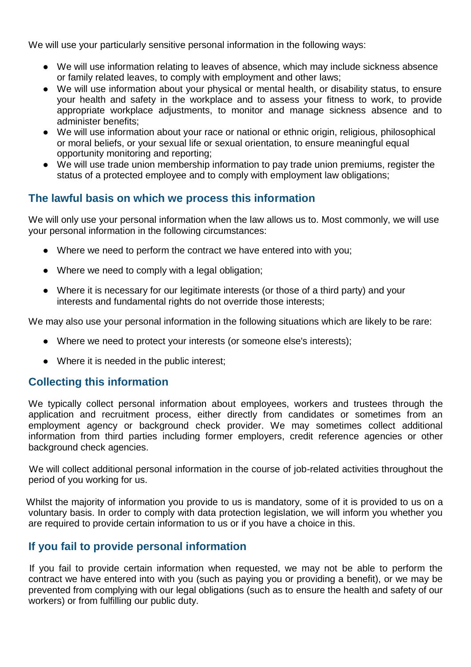We will use your particularly sensitive personal information in the following ways:

- We will use information relating to leaves of absence, which may include sickness absence or family related leaves, to comply with employment and other laws;
- We will use information about your physical or mental health, or disability status, to ensure your health and safety in the workplace and to assess your fitness to work, to provide appropriate workplace adjustments, to monitor and manage sickness absence and to administer benefits;
- We will use information about your race or national or ethnic origin, religious, philosophical or moral beliefs, or your sexual life or sexual orientation, to ensure meaningful equal opportunity monitoring and reporting;
- We will use trade union membership information to pay trade union premiums, register the status of a protected employee and to comply with employment law obligations;

### **The lawful basis on which we process this information**

We will only use your personal information when the law allows us to. Most commonly, we will use your personal information in the following circumstances:

- Where we need to perform the contract we have entered into with you;
- Where we need to comply with a legal obligation;
- Where it is necessary for our legitimate interests (or those of a third party) and your interests and fundamental rights do not override those interests;

We may also use your personal information in the following situations which are likely to be rare:

- Where we need to protect your interests (or someone else's interests);
- Where it is needed in the public interest;

### **Collecting this information**

We typically collect personal information about employees, workers and trustees through the application and recruitment process, either directly from candidates or sometimes from an employment agency or background check provider. We may sometimes collect additional information from third parties including former employers, credit reference agencies or other background check agencies.

We will collect additional personal information in the course of job-related activities throughout the period of you working for us.

Whilst the majority of information you provide to us is mandatory, some of it is provided to us on a voluntary basis. In order to comply with data protection legislation, we will inform you whether you are required to provide certain information to us or if you have a choice in this.

# **If you fail to provide personal information**

If you fail to provide certain information when requested, we may not be able to perform the contract we have entered into with you (such as paying you or providing a benefit), or we may be prevented from complying with our legal obligations (such as to ensure the health and safety of our workers) or from fulfilling our public duty.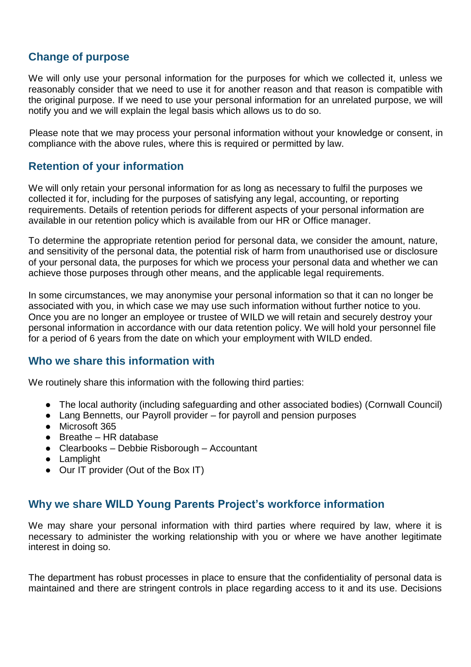# **Change of purpose**

We will only use your personal information for the purposes for which we collected it, unless we reasonably consider that we need to use it for another reason and that reason is compatible with the original purpose. If we need to use your personal information for an unrelated purpose, we will notify you and we will explain the legal basis which allows us to do so.

Please note that we may process your personal information without your knowledge or consent, in compliance with the above rules, where this is required or permitted by law.

# **Retention of your information**

We will only retain your personal information for as long as necessary to fulfil the purposes we collected it for, including for the purposes of satisfying any legal, accounting, or reporting requirements. Details of retention periods for different aspects of your personal information are available in our retention policy which is available from our HR or Office manager.

To determine the appropriate retention period for personal data, we consider the amount, nature, and sensitivity of the personal data, the potential risk of harm from unauthorised use or disclosure of your personal data, the purposes for which we process your personal data and whether we can achieve those purposes through other means, and the applicable legal requirements.

In some circumstances, we may anonymise your personal information so that it can no longer be associated with you, in which case we may use such information without further notice to you. Once you are no longer an employee or trustee of WILD we will retain and securely destroy your personal information in accordance with our data retention policy. We will hold your personnel file for a period of 6 years from the date on which your employment with WILD ended.

### **Who we share this information with**

We routinely share this information with the following third parties:

- The local authority (including safeguarding and other associated bodies) (Cornwall Council)
- Lang Bennetts, our Payroll provider for payroll and pension purposes
- Microsoft 365
- Breathe HR database
- Clearbooks Debbie Risborough Accountant
- Lamplight
- Our IT provider (Out of the Box IT)

# **Why we share WILD Young Parents Project's workforce information**

We may share your personal information with third parties where required by law, where it is necessary to administer the working relationship with you or where we have another legitimate interest in doing so.

The department has robust processes in place to ensure that the confidentiality of personal data is maintained and there are stringent controls in place regarding access to it and its use. Decisions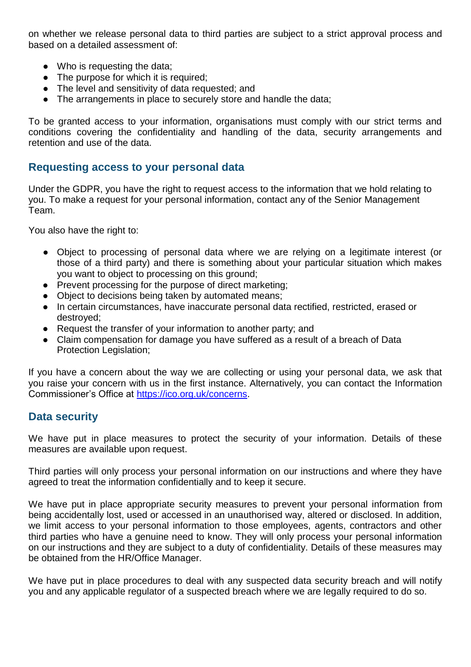on whether we release personal data to third parties are subject to a strict approval process and based on a detailed assessment of:

- Who is requesting the data;
- The purpose for which it is required;
- The level and sensitivity of data requested; and
- The arrangements in place to securely store and handle the data;

To be granted access to your information, organisations must comply with our strict terms and conditions covering the confidentiality and handling of the data, security arrangements and retention and use of the data.

### **Requesting access to your personal data**

Under the GDPR, you have the right to request access to the information that we hold relating to you. To make a request for your personal information, contact any of the Senior Management Team.

You also have the right to:

- Object to processing of personal data where we are relying on a legitimate interest (or those of a third party) and there is something about your particular situation which makes you want to object to processing on this ground;
- Prevent processing for the purpose of direct marketing;
- Object to decisions being taken by automated means;
- In certain circumstances, have inaccurate personal data rectified, restricted, erased or destroyed;
- Request the transfer of your information to another party; and
- Claim compensation for damage you have suffered as a result of a breach of Data Protection Legislation;

If you have a concern about the way we are collecting or using your personal data, we ask that you raise your concern with us in the first instance. Alternatively, you can contact the Information Commissioner's Office at [https://ico.org.uk/concerns.](https://ico.org.uk/concerns)

### **Data security**

We have put in place measures to protect the security of your information. Details of these measures are available upon request.

Third parties will only process your personal information on our instructions and where they have agreed to treat the information confidentially and to keep it secure.

We have put in place appropriate security measures to prevent your personal information from being accidentally lost, used or accessed in an unauthorised way, altered or disclosed. In addition, we limit access to your personal information to those employees, agents, contractors and other third parties who have a genuine need to know. They will only process your personal information on our instructions and they are subject to a duty of confidentiality. Details of these measures may be obtained from the HR/Office Manager.

We have put in place procedures to deal with any suspected data security breach and will notify you and any applicable regulator of a suspected breach where we are legally required to do so.